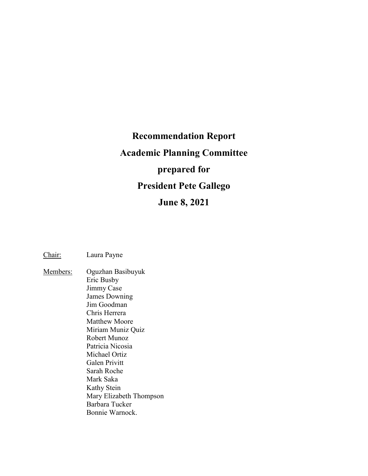# **Recommendation Report Academic Planning Committee prepared for President Pete Gallego June 8, 2021**

Chair: Laura Payne

Members: Oguzhan Basibuyuk Eric Busby Jimmy Case James Downing Jim Goodman Chris Herrera Matthew Moore Miriam Muniz Quiz Robert Munoz Patricia Nicosia Michael Ortiz Galen Privitt Sarah Roche Mark Saka Kathy Stein Mary Elizabeth Thompson Barbara Tucker Bonnie Warnock.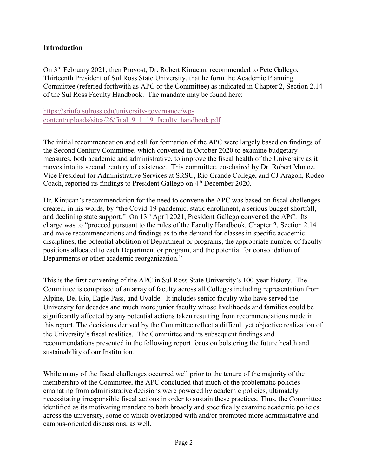## **Introduction**

On 3rd February 2021, then Provost, Dr. Robert Kinucan, recommended to Pete Gallego, Thirteenth President of Sul Ross State University, that he form the Academic Planning Committee (referred forthwith as APC or the Committee) as indicated in Chapter 2, Section 2.14 of the Sul Ross Faculty Handbook. The mandate may be found here:

[https://srinfo.sulross.edu/university-governance/wp](https://srinfo.sulross.edu/university-governance/wp-content/uploads/sites/26/final_9_1_19_faculty_handbook.pdf)[content/uploads/sites/26/final\\_9\\_1\\_19\\_faculty\\_handbook.pdf](https://srinfo.sulross.edu/university-governance/wp-content/uploads/sites/26/final_9_1_19_faculty_handbook.pdf) 

The initial recommendation and call for formation of the APC were largely based on findings of the Second Century Committee, which convened in October 2020 to examine budgetary measures, both academic and administrative, to improve the fiscal health of the University as it moves into its second century of existence. This committee, co-chaired by Dr. Robert Munoz, Vice President for Administrative Services at SRSU, Rio Grande College, and CJ Aragon, Rodeo Coach, reported its findings to President Gallego on 4<sup>th</sup> December 2020.

Dr. Kinucan's recommendation for the need to convene the APC was based on fiscal challenges created, in his words, by "the Covid-19 pandemic, static enrollment, a serious budget shortfall, and declining state support." On 13<sup>th</sup> April 2021, President Gallego convened the APC. Its charge was to "proceed pursuant to the rules of the Faculty Handbook, Chapter 2, Section 2.14 and make recommendations and findings as to the demand for classes in specific academic disciplines, the potential abolition of Department or programs, the appropriate number of faculty positions allocated to each Department or program, and the potential for consolidation of Departments or other academic reorganization."

This is the first convening of the APC in Sul Ross State University's 100-year history. The Committee is comprised of an array of faculty across all Colleges including representation from Alpine, Del Rio, Eagle Pass, and Uvalde. It includes senior faculty who have served the University for decades and much more junior faculty whose livelihoods and families could be significantly affected by any potential actions taken resulting from recommendations made in this report. The decisions derived by the Committee reflect a difficult yet objective realization of the University's fiscal realities. The Committee and its subsequent findings and recommendations presented in the following report focus on bolstering the future health and sustainability of our Institution.

While many of the fiscal challenges occurred well prior to the tenure of the majority of the membership of the Committee, the APC concluded that much of the problematic policies emanating from administrative decisions were powered by academic policies, ultimately necessitating irresponsible fiscal actions in order to sustain these practices. Thus, the Committee identified as its motivating mandate to both broadly and specifically examine academic policies across the university, some of which overlapped with and/or prompted more administrative and campus-oriented discussions, as well.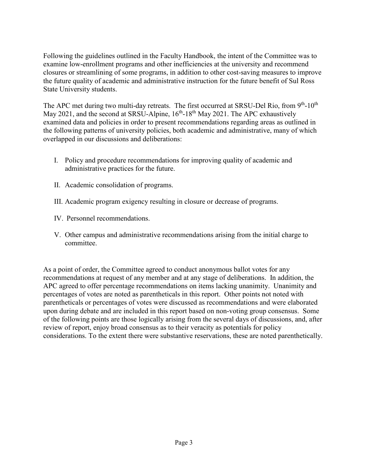Following the guidelines outlined in the Faculty Handbook, the intent of the Committee was to examine low-enrollment programs and other inefficiencies at the university and recommend closures or streamlining of some programs, in addition to other cost-saving measures to improve the future quality of academic and administrative instruction for the future benefit of Sul Ross State University students.

The APC met during two multi-day retreats. The first occurred at SRSU-Del Rio, from 9<sup>th</sup>-10<sup>th</sup> May 2021, and the second at SRSU-Alpine,  $16<sup>th</sup> - 18<sup>th</sup>$  May 2021. The APC exhaustively examined data and policies in order to present recommendations regarding areas as outlined in the following patterns of university policies, both academic and administrative, many of which overlapped in our discussions and deliberations:

- I. Policy and procedure recommendations for improving quality of academic and administrative practices for the future.
- II. Academic consolidation of programs.
- III. Academic program exigency resulting in closure or decrease of programs.
- IV. Personnel recommendations.
- V. Other campus and administrative recommendations arising from the initial charge to committee.

As a point of order, the Committee agreed to conduct anonymous ballot votes for any recommendations at request of any member and at any stage of deliberations. In addition, the APC agreed to offer percentage recommendations on items lacking unanimity. Unanimity and percentages of votes are noted as parentheticals in this report. Other points not noted with parentheticals or percentages of votes were discussed as recommendations and were elaborated upon during debate and are included in this report based on non-voting group consensus. Some of the following points are those logically arising from the several days of discussions, and, after review of report, enjoy broad consensus as to their veracity as potentials for policy considerations. To the extent there were substantive reservations, these are noted parenthetically.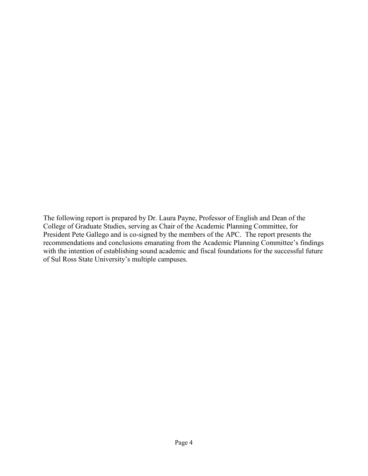The following report is prepared by Dr. Laura Payne, Professor of English and Dean of the College of Graduate Studies, serving as Chair of the Academic Planning Committee, for President Pete Gallego and is co-signed by the members of the APC. The report presents the recommendations and conclusions emanating from the Academic Planning Committee's findings with the intention of establishing sound academic and fiscal foundations for the successful future of Sul Ross State University's multiple campuses.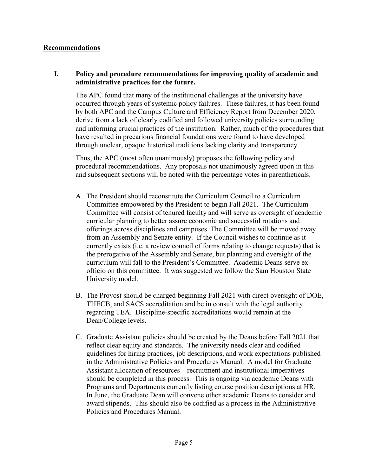#### **Recommendations**

#### **I. Policy and procedure recommendations for improving quality of academic and administrative practices for the future.**

The APC found that many of the institutional challenges at the university have occurred through years of systemic policy failures. These failures, it has been found by both APC and the Campus Culture and Efficiency Report from December 2020, derive from a lack of clearly codified and followed university policies surrounding and informing crucial practices of the institution. Rather, much of the procedures that have resulted in precarious financial foundations were found to have developed through unclear, opaque historical traditions lacking clarity and transparency.

Thus, the APC (most often unanimously) proposes the following policy and procedural recommendations. Any proposals not unanimously agreed upon in this and subsequent sections will be noted with the percentage votes in parentheticals.

- A. The President should reconstitute the Curriculum Council to a Curriculum Committee empowered by the President to begin Fall 2021. The Curriculum Committee will consist of tenured faculty and will serve as oversight of academic curricular planning to better assure economic and successful rotations and offerings across disciplines and campuses. The Committee will be moved away from an Assembly and Senate entity. If the Council wishes to continue as it currently exists (i.e. a review council of forms relating to change requests) that is the prerogative of the Assembly and Senate, but planning and oversight of the curriculum will fall to the President's Committee. Academic Deans serve exofficio on this committee. It was suggested we follow the Sam Houston State University model.
- B. The Provost should be charged beginning Fall 2021 with direct oversight of DOE, THECB, and SACS accreditation and be in consult with the legal authority regarding TEA. Discipline-specific accreditations would remain at the Dean/College levels.
- C. Graduate Assistant policies should be created by the Deans before Fall 2021 that reflect clear equity and standards. The university needs clear and codified guidelines for hiring practices, job descriptions, and work expectations published in the Administrative Policies and Procedures Manual. A model for Graduate Assistant allocation of resources – recruitment and institutional imperatives should be completed in this process. This is ongoing via academic Deans with Programs and Departments currently listing course position descriptions at HR. In June, the Graduate Dean will convene other academic Deans to consider and award stipends. This should also be codified as a process in the Administrative Policies and Procedures Manual.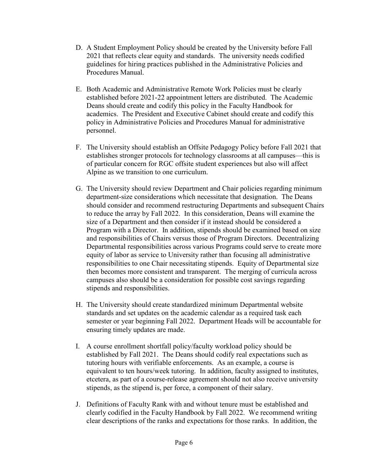- D. A Student Employment Policy should be created by the University before Fall 2021 that reflects clear equity and standards. The university needs codified guidelines for hiring practices published in the Administrative Policies and Procedures Manual.
- E. Both Academic and Administrative Remote Work Policies must be clearly established before 2021-22 appointment letters are distributed. The Academic Deans should create and codify this policy in the Faculty Handbook for academics. The President and Executive Cabinet should create and codify this policy in Administrative Policies and Procedures Manual for administrative personnel.
- F. The University should establish an Offsite Pedagogy Policy before Fall 2021 that establishes stronger protocols for technology classrooms at all campuses—this is of particular concern for RGC offsite student experiences but also will affect Alpine as we transition to one curriculum.
- G. The University should review Department and Chair policies regarding minimum department-size considerations which necessitate that designation. The Deans should consider and recommend restructuring Departments and subsequent Chairs to reduce the array by Fall 2022. In this consideration, Deans will examine the size of a Department and then consider if it instead should be considered a Program with a Director. In addition, stipends should be examined based on size and responsibilities of Chairs versus those of Program Directors. Decentralizing Departmental responsibilities across various Programs could serve to create more equity of labor as service to University rather than focusing all administrative responsibilities to one Chair necessitating stipends. Equity of Departmental size then becomes more consistent and transparent. The merging of curricula across campuses also should be a consideration for possible cost savings regarding stipends and responsibilities.
- H. The University should create standardized minimum Departmental website standards and set updates on the academic calendar as a required task each semester or year beginning Fall 2022. Department Heads will be accountable for ensuring timely updates are made.
- I. A course enrollment shortfall policy/faculty workload policy should be established by Fall 2021. The Deans should codify real expectations such as tutoring hours with verifiable enforcements. As an example, a course is equivalent to ten hours/week tutoring. In addition, faculty assigned to institutes, etcetera, as part of a course-release agreement should not also receive university stipends, as the stipend is, per force, a component of their salary.
- J. Definitions of Faculty Rank with and without tenure must be established and clearly codified in the Faculty Handbook by Fall 2022. We recommend writing clear descriptions of the ranks and expectations for those ranks. In addition, the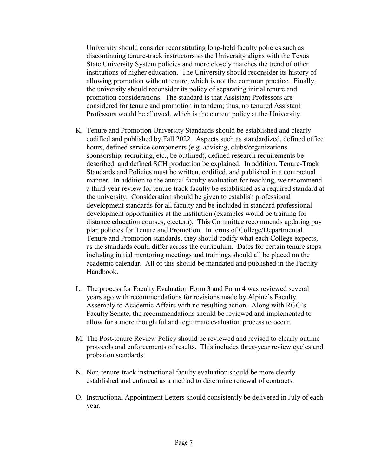University should consider reconstituting long-held faculty policies such as discontinuing tenure-track instructors so the University aligns with the Texas State University System policies and more closely matches the trend of other institutions of higher education. The University should reconsider its history of allowing promotion without tenure, which is not the common practice. Finally, the university should reconsider its policy of separating initial tenure and promotion considerations. The standard is that Assistant Professors are considered for tenure and promotion in tandem; thus, no tenured Assistant Professors would be allowed, which is the current policy at the University.

- K. Tenure and Promotion University Standards should be established and clearly codified and published by Fall 2022. Aspects such as standardized, defined office hours, defined service components (e.g. advising, clubs/organizations sponsorship, recruiting, etc., be outlined), defined research requirements be described, and defined SCH production be explained. In addition, Tenure-Track Standards and Policies must be written, codified, and published in a contractual manner. In addition to the annual faculty evaluation for teaching, we recommend a third-year review for tenure-track faculty be established as a required standard at the university. Consideration should be given to establish professional development standards for all faculty and be included in standard professional development opportunities at the institution (examples would be training for distance education courses, etcetera). This Committee recommends updating pay plan policies for Tenure and Promotion. In terms of College/Departmental Tenure and Promotion standards, they should codify what each College expects, as the standards could differ across the curriculum. Dates for certain tenure steps including initial mentoring meetings and trainings should all be placed on the academic calendar. All of this should be mandated and published in the Faculty Handbook.
- L. The process for Faculty Evaluation Form 3 and Form 4 was reviewed several years ago with recommendations for revisions made by Alpine's Faculty Assembly to Academic Affairs with no resulting action. Along with RGC's Faculty Senate, the recommendations should be reviewed and implemented to allow for a more thoughtful and legitimate evaluation process to occur.
- M. The Post-tenure Review Policy should be reviewed and revised to clearly outline protocols and enforcements of results. This includes three-year review cycles and probation standards.
- N. Non-tenure-track instructional faculty evaluation should be more clearly established and enforced as a method to determine renewal of contracts.
- O. Instructional Appointment Letters should consistently be delivered in July of each year.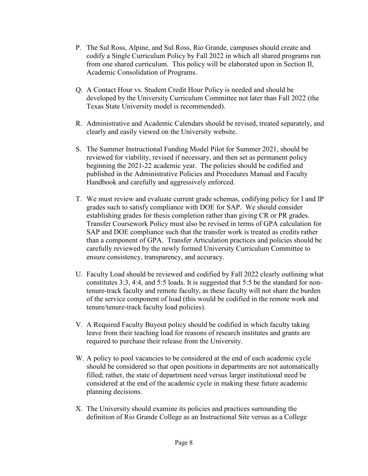- P. The Sul Ross, Alpine, and Sul Ross, Rio Grande, campuses should create and codify a Single Curriculum Policy by Fall 2022 in which all shared programs run from one shared curriculum. This policy will be elaborated upon in Section II, Academic Consolidation of Programs.
- Q. A Contact Hour vs. Student Credit Hour Policy is needed and should be developed by the University Curriculum Committee not later than Fall 2022 (the Texas State University model is recommended).
- R. Administrative and Academic Calendars should be revised, treated separately, and clearly and easily viewed on the University website.
- S. The Summer Instructional Funding Model Pilot for Summer 2021, should be reviewed for viability, revised if necessary, and then set as permanent policy beginning the 2021-22 academic year. The policies should be codified and published in the Administrative Policies and Procedures Manual and Faculty Handbook and carefully and aggressively enforced.
- T. We must review and evaluate current grade schemas, codifying policy for I and IP grades such to satisfy compliance with DOE for SAP. We should consider establishing grades for thesis completion rather than giving CR or PR grades. Transfer Coursework Policy must also be revised in terms of GPA calculation for SAP and DOE compliance such that the transfer work is treated as credits rather than a component of GPA. Transfer Articulation practices and policies should be carefully reviewed by the newly formed University Curriculum Committee to ensure consistency, transparency, and accuracy.
- U. Faculty Load should be reviewed and codified by Fall 2022 clearly outlining what constitutes 3:3, 4:4, and 5:5 loads. It is suggested that 5:5 be the standard for nontenure-track faculty and remote faculty, as these faculty will not share the burden of the service component of load (this would be codified in the remote work and tenure/tenure-track faculty load policies).
- V. A Required Faculty Buyout policy should be codified in which faculty taking leave from their teaching load for reasons of research institutes and grants are required to purchase their release from the University.
- W. A policy to pool vacancies to be considered at the end of each academic cycle should be considered so that open positions in departments are not automatically filled; rather, the state of department need versus larger institutional need be considered at the end of the academic cycle in making these future academic planning decisions.
- X. The University should examine its policies and practices surrounding the definition of Rio Grande College as an Instructional Site versus as a College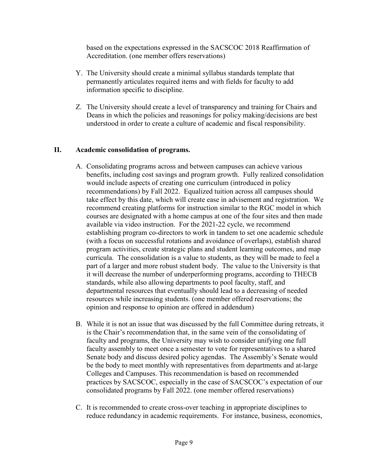based on the expectations expressed in the SACSCOC 2018 Reaffirmation of Accreditation. (one member offers reservations)

- Y. The University should create a minimal syllabus standards template that permanently articulates required items and with fields for faculty to add information specific to discipline.
- Z. The University should create a level of transparency and training for Chairs and Deans in which the policies and reasonings for policy making/decisions are best understood in order to create a culture of academic and fiscal responsibility.

## **II. Academic consolidation of programs.**

- A. Consolidating programs across and between campuses can achieve various benefits, including cost savings and program growth. Fully realized consolidation would include aspects of creating one curriculum (introduced in policy recommendations) by Fall 2022. Equalized tuition across all campuses should take effect by this date, which will create ease in advisement and registration. We recommend creating platforms for instruction similar to the RGC model in which courses are designated with a home campus at one of the four sites and then made available via video instruction. For the 2021-22 cycle, we recommend establishing program co-directors to work in tandem to set one academic schedule (with a focus on successful rotations and avoidance of overlaps), establish shared program activities, create strategic plans and student learning outcomes, and map curricula. The consolidation is a value to students, as they will be made to feel a part of a larger and more robust student body. The value to the University is that it will decrease the number of underperforming programs, according to THECB standards, while also allowing departments to pool faculty, staff, and departmental resources that eventually should lead to a decreasing of needed resources while increasing students. (one member offered reservations; the opinion and response to opinion are offered in addendum)
- B. While it is not an issue that was discussed by the full Committee during retreats, it is the Chair's recommendation that, in the same vein of the consolidating of faculty and programs, the University may wish to consider unifying one full faculty assembly to meet once a semester to vote for representatives to a shared Senate body and discuss desired policy agendas. The Assembly's Senate would be the body to meet monthly with representatives from departments and at-large Colleges and Campuses. This recommendation is based on recommended practices by SACSCOC, especially in the case of SACSCOC's expectation of our consolidated programs by Fall 2022. (one member offered reservations)
- C. It is recommended to create cross-over teaching in appropriate disciplines to reduce redundancy in academic requirements. For instance, business, economics,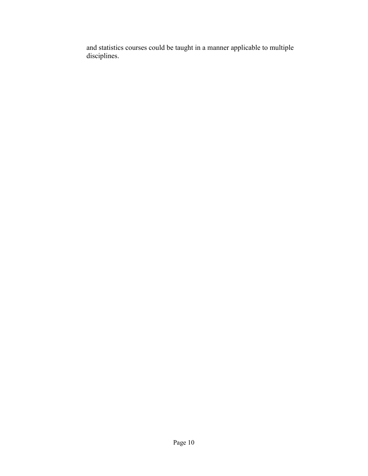and statistics courses could be taught in a manner applicable to multiple disciplines.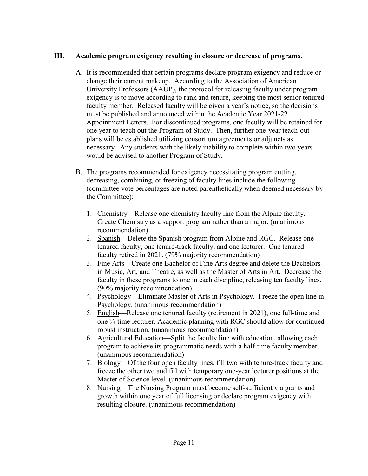#### **III. Academic program exigency resulting in closure or decrease of programs.**

- A. It is recommended that certain programs declare program exigency and reduce or change their current makeup. According to the Association of American University Professors (AAUP), the protocol for releasing faculty under program exigency is to move according to rank and tenure, keeping the most senior tenured faculty member. Released faculty will be given a year's notice, so the decisions must be published and announced within the Academic Year 2021-22 Appointment Letters. For discontinued programs, one faculty will be retained for one year to teach out the Program of Study. Then, further one-year teach-out plans will be established utilizing consortium agreements or adjuncts as necessary. Any students with the likely inability to complete within two years would be advised to another Program of Study.
- B. The programs recommended for exigency necessitating program cutting, decreasing, combining, or freezing of faculty lines include the following (committee vote percentages are noted parenthetically when deemed necessary by the Committee):
	- 1. Chemistry—Release one chemistry faculty line from the Alpine faculty. Create Chemistry as a support program rather than a major. (unanimous recommendation)
	- 2. Spanish—Delete the Spanish program from Alpine and RGC. Release one tenured faculty, one tenure-track faculty, and one lecturer. One tenured faculty retired in 2021. (79% majority recommendation)
	- 3. Fine Arts—Create one Bachelor of Fine Arts degree and delete the Bachelors in Music, Art, and Theatre, as well as the Master of Arts in Art. Decrease the faculty in these programs to one in each discipline, releasing ten faculty lines. (90% majority recommendation)
	- 4. Psychology—Eliminate Master of Arts in Psychology. Freeze the open line in Psychology. (unanimous recommendation)
	- 5. English—Release one tenured faculty (retirement in 2021), one full-time and one ¾-time lecturer. Academic planning with RGC should allow for continued robust instruction. (unanimous recommendation)
	- 6. Agricultural Education—Split the faculty line with education, allowing each program to achieve its programmatic needs with a half-time faculty member. (unanimous recommendation)
	- 7. Biology—Of the four open faculty lines, fill two with tenure-track faculty and freeze the other two and fill with temporary one-year lecturer positions at the Master of Science level. (unanimous recommendation)
	- 8. Nursing—The Nursing Program must become self-sufficient via grants and growth within one year of full licensing or declare program exigency with resulting closure. (unanimous recommendation)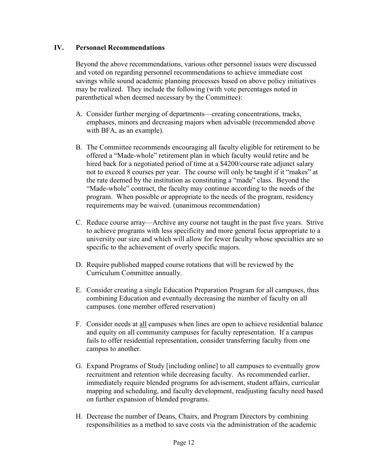#### **IV. Personnel Recommendations**

Beyond the above recommendations, various other personnel issues were discussed and voted on regarding personnel recommendations to achieve immediate cost savings while sound academic planning processes based on above policy initiatives may be realized. They include the following (with vote percentages noted in parenthetical when deemed necessary by the Committee):

- A. Consider further merging of departments—creating concentrations, tracks, emphases, minors and decreasing majors when advisable (recommended above with BFA, as an example).
- B. The Committee recommends encouraging all faculty eligible for retirement to be offered a "Made-whole" retirement plan in which faculty would retire and be hired back for a negotiated period of time at a \$4200/course rate adjunct salary not to exceed 8 courses per year. The course will only be taught if it "makes" at the rate deemed by the institution as constituting a "made" class. Beyond the "Made-whole" contract, the faculty may continue according to the needs of the program. When possible or appropriate to the needs of the program, residency requirements may be waived. (unanimous recommendation)
- C. Reduce course array—Archive any course not taught in the past five years. Strive to achieve programs with less specificity and more general focus appropriate to a university our size and which will allow for fewer faculty whose specialties are so specific to the achievement of overly specific majors.
- D. Require published mapped course rotations that will be reviewed by the Curriculum Committee annually.
- E. Consider creating a single Education Preparation Program for all campuses, thus combining Education and eventually decreasing the number of faculty on all campuses. (one member offered reservation)
- F. Consider needs at all campuses when lines are open to achieve residential balance and equity on all community campuses for faculty representation. If a campus fails to offer residential representation, consider transferring faculty from one campus to another.
- G. Expand Programs of Study [including online] to all campuses to eventually grow recruitment and retention while decreasing faculty. As recommended earlier, immediately require blended programs for advisement, student affairs, curricular mapping and scheduling, and faculty development, readjusting faculty need based on further expansion of blended programs.
- H. Decrease the number of Deans, Chairs, and Program Directors by combining responsibilities as a method to save costs via the administration of the academic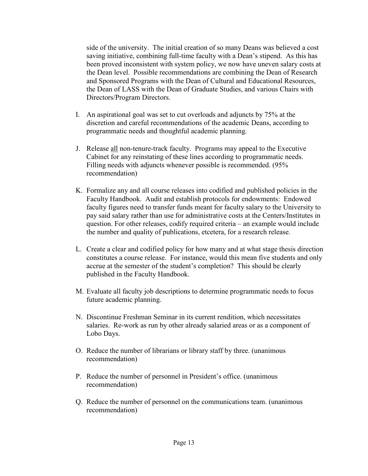side of the university. The initial creation of so many Deans was believed a cost saving initiative, combining full-time faculty with a Dean's stipend. As this has been proved inconsistent with system policy, we now have uneven salary costs at the Dean level. Possible recommendations are combining the Dean of Research and Sponsored Programs with the Dean of Cultural and Educational Resources, the Dean of LASS with the Dean of Graduate Studies, and various Chairs with Directors/Program Directors.

- I. An aspirational goal was set to cut overloads and adjuncts by 75% at the discretion and careful recommendations of the academic Deans, according to programmatic needs and thoughtful academic planning.
- J. Release all non-tenure-track faculty. Programs may appeal to the Executive Cabinet for any reinstating of these lines according to programmatic needs. Filling needs with adjuncts whenever possible is recommended. (95% recommendation)
- K. Formalize any and all course releases into codified and published policies in the Faculty Handbook. Audit and establish protocols for endowments: Endowed faculty figures need to transfer funds meant for faculty salary to the University to pay said salary rather than use for administrative costs at the Centers/Institutes in question. For other releases, codify required criteria – an example would include the number and quality of publications, etcetera, for a research release.
- L. Create a clear and codified policy for how many and at what stage thesis direction constitutes a course release. For instance, would this mean five students and only accrue at the semester of the student's completion? This should be clearly published in the Faculty Handbook.
- M. Evaluate all faculty job descriptions to determine programmatic needs to focus future academic planning.
- N. Discontinue Freshman Seminar in its current rendition, which necessitates salaries. Re-work as run by other already salaried areas or as a component of Lobo Days.
- O. Reduce the number of librarians or library staff by three. (unanimous recommendation)
- P. Reduce the number of personnel in President's office. (unanimous recommendation)
- Q. Reduce the number of personnel on the communications team. (unanimous recommendation)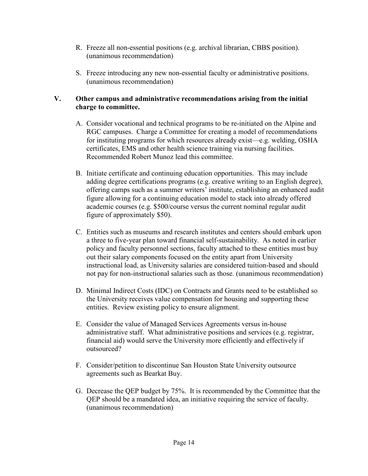- R. Freeze all non-essential positions (e.g. archival librarian, CBBS position). (unanimous recommendation)
- S. Freeze introducing any new non-essential faculty or administrative positions. (unanimous recommendation)

#### **V. Other campus and administrative recommendations arising from the initial charge to committee.**

- A. Consider vocational and technical programs to be re-initiated on the Alpine and RGC campuses. Charge a Committee for creating a model of recommendations for instituting programs for which resources already exist—e.g. welding, OSHA certificates, EMS and other health science training via nursing facilities. Recommended Robert Munoz lead this committee.
- B. Initiate certificate and continuing education opportunities. This may include adding degree certifications programs (e.g. creative writing to an English degree), offering camps such as a summer writers' institute, establishing an enhanced audit figure allowing for a continuing education model to stack into already offered academic courses (e.g. \$500/course versus the current nominal regular audit figure of approximately \$50).
- C. Entities such as museums and research institutes and centers should embark upon a three to five-year plan toward financial self-sustainability. As noted in earlier policy and faculty personnel sections, faculty attached to these entities must buy out their salary components focused on the entity apart from University instructional load, as University salaries are considered tuition-based and should not pay for non-instructional salaries such as those. (unanimous recommendation)
- D. Minimal Indirect Costs (IDC) on Contracts and Grants need to be established so the University receives value compensation for housing and supporting these entities. Review existing policy to ensure alignment.
- E. Consider the value of Managed Services Agreements versus in-house administrative staff. What administrative positions and services (e.g. registrar, financial aid) would serve the University more efficiently and effectively if outsourced?
- F. Consider/petition to discontinue San Houston State University outsource agreements such as Bearkat Buy.
- G. Decrease the QEP budget by 75%. It is recommended by the Committee that the QEP should be a mandated idea, an initiative requiring the service of faculty. (unanimous recommendation)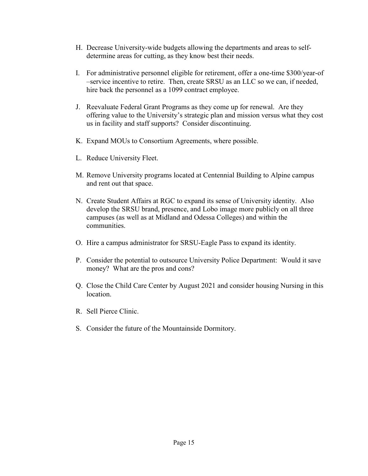- H. Decrease University-wide budgets allowing the departments and areas to selfdetermine areas for cutting, as they know best their needs.
- I. For administrative personnel eligible for retirement, offer a one-time \$300/year-of –service incentive to retire. Then, create SRSU as an LLC so we can, if needed, hire back the personnel as a 1099 contract employee.
- J. Reevaluate Federal Grant Programs as they come up for renewal. Are they offering value to the University's strategic plan and mission versus what they cost us in facility and staff supports? Consider discontinuing.
- K. Expand MOUs to Consortium Agreements, where possible.
- L. Reduce University Fleet.
- M. Remove University programs located at Centennial Building to Alpine campus and rent out that space.
- N. Create Student Affairs at RGC to expand its sense of University identity. Also develop the SRSU brand, presence, and Lobo image more publicly on all three campuses (as well as at Midland and Odessa Colleges) and within the communities.
- O. Hire a campus administrator for SRSU-Eagle Pass to expand its identity.
- P. Consider the potential to outsource University Police Department: Would it save money? What are the pros and cons?
- Q. Close the Child Care Center by August 2021 and consider housing Nursing in this location.
- R. Sell Pierce Clinic.
- S. Consider the future of the Mountainside Dormitory.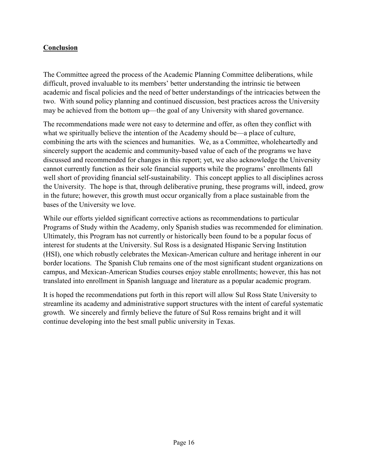# **Conclusion**

The Committee agreed the process of the Academic Planning Committee deliberations, while difficult, proved invaluable to its members' better understanding the intrinsic tie between academic and fiscal policies and the need of better understandings of the intricacies between the two. With sound policy planning and continued discussion, best practices across the University may be achieved from the bottom up—the goal of any University with shared governance.

The recommendations made were not easy to determine and offer, as often they conflict with what we spiritually believe the intention of the Academy should be—a place of culture, combining the arts with the sciences and humanities. We, as a Committee, wholeheartedly and sincerely support the academic and community-based value of each of the programs we have discussed and recommended for changes in this report; yet, we also acknowledge the University cannot currently function as their sole financial supports while the programs' enrollments fall well short of providing financial self-sustainability. This concept applies to all disciplines across the University. The hope is that, through deliberative pruning, these programs will, indeed, grow in the future; however, this growth must occur organically from a place sustainable from the bases of the University we love.

While our efforts yielded significant corrective actions as recommendations to particular Programs of Study within the Academy, only Spanish studies was recommended for elimination. Ultimately, this Program has not currently or historically been found to be a popular focus of interest for students at the University. Sul Ross is a designated Hispanic Serving Institution (HSI), one which robustly celebrates the Mexican-American culture and heritage inherent in our border locations. The Spanish Club remains one of the most significant student organizations on campus, and Mexican-American Studies courses enjoy stable enrollments; however, this has not translated into enrollment in Spanish language and literature as a popular academic program.

It is hoped the recommendations put forth in this report will allow Sul Ross State University to streamline its academy and administrative support structures with the intent of careful systematic growth. We sincerely and firmly believe the future of Sul Ross remains bright and it will continue developing into the best small public university in Texas.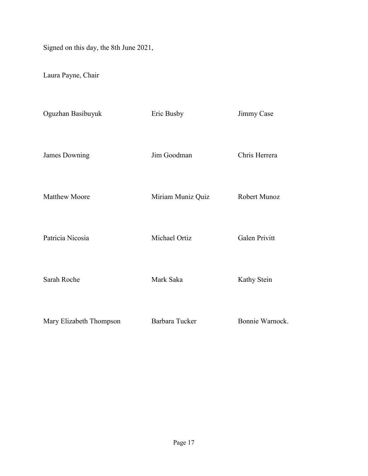Signed on this day, the 8th June 2021,

Laura Payne, Chair

| Oguzhan Basibuyuk       | Eric Busby        | Jimmy Case      |
|-------------------------|-------------------|-----------------|
| James Downing           | Jim Goodman       | Chris Herrera   |
| <b>Matthew Moore</b>    | Miriam Muniz Quiz | Robert Munoz    |
| Patricia Nicosia        | Michael Ortiz     | Galen Privitt   |
| Sarah Roche             | Mark Saka         | Kathy Stein     |
| Mary Elizabeth Thompson | Barbara Tucker    | Bonnie Warnock. |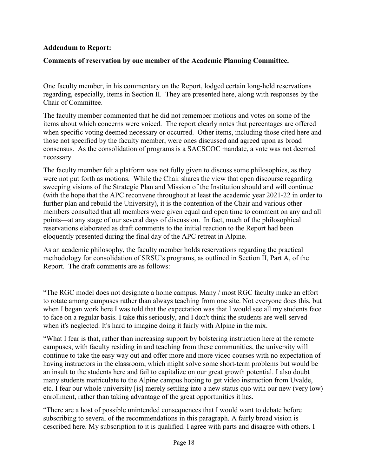#### **Addendum to Report:**

## **Comments of reservation by one member of the Academic Planning Committee.**

One faculty member, in his commentary on the Report, lodged certain long-held reservations regarding, especially, items in Section II. They are presented here, along with responses by the Chair of Committee.

The faculty member commented that he did not remember motions and votes on some of the items about which concerns were voiced. The report clearly notes that percentages are offered when specific voting deemed necessary or occurred. Other items, including those cited here and those not specified by the faculty member, were ones discussed and agreed upon as broad consensus. As the consolidation of programs is a SACSCOC mandate, a vote was not deemed necessary.

The faculty member felt a platform was not fully given to discuss some philosophies, as they were not put forth as motions. While the Chair shares the view that open discourse regarding sweeping visions of the Strategic Plan and Mission of the Institution should and will continue (with the hope that the APC reconvene throughout at least the academic year 2021-22 in order to further plan and rebuild the University), it is the contention of the Chair and various other members consulted that all members were given equal and open time to comment on any and all points—at any stage of our several days of discussion. In fact, much of the philosophical reservations elaborated as draft comments to the initial reaction to the Report had been eloquently presented during the final day of the APC retreat in Alpine.

As an academic philosophy, the faculty member holds reservations regarding the practical methodology for consolidation of SRSU's programs, as outlined in Section II, Part A, of the Report. The draft comments are as follows:

"The RGC model does not designate a home campus. Many / most RGC faculty make an effort to rotate among campuses rather than always teaching from one site. Not everyone does this, but when I began work here I was told that the expectation was that I would see all my students face to face on a regular basis. I take this seriously, and I don't think the students are well served when it's neglected. It's hard to imagine doing it fairly with Alpine in the mix.

"What I fear is that, rather than increasing support by bolstering instruction here at the remote campuses, with faculty residing in and teaching from these communities, the university will continue to take the easy way out and offer more and more video courses with no expectation of having instructors in the classroom, which might solve some short-term problems but would be an insult to the students here and fail to capitalize on our great growth potential. I also doubt many students matriculate to the Alpine campus hoping to get video instruction from Uvalde, etc. I fear our whole university [is] merely settling into a new status quo with our new (very low) enrollment, rather than taking advantage of the great opportunities it has.

"There are a host of possible unintended consequences that I would want to debate before subscribing to several of the recommendations in this paragraph. A fairly broad vision is described here. My subscription to it is qualified. I agree with parts and disagree with others. I